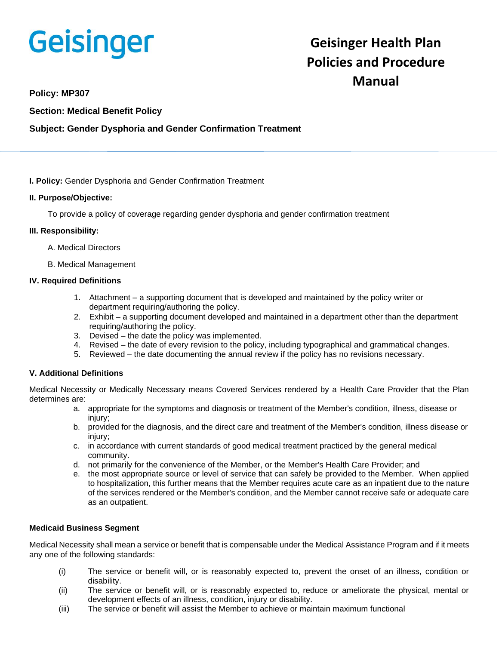# Geisinger

# **Geisinger Health Plan Policies and Procedure Manual**

#### **Policy: MP307**

**Section: Medical Benefit Policy**

#### **Subject: Gender Dysphoria and Gender Confirmation Treatment**

**I. Policy:** Gender Dysphoria and Gender Confirmation Treatment

#### **II. Purpose/Objective:**

To provide a policy of coverage regarding gender dysphoria and gender confirmation treatment

#### **III. Responsibility:**

- A. Medical Directors
- B. Medical Management

#### **IV. Required Definitions**

- 1. Attachment a supporting document that is developed and maintained by the policy writer or department requiring/authoring the policy.
- 2. Exhibit a supporting document developed and maintained in a department other than the department requiring/authoring the policy.
- 3. Devised the date the policy was implemented.
- 4. Revised the date of every revision to the policy, including typographical and grammatical changes.
- 5. Reviewed the date documenting the annual review if the policy has no revisions necessary.

#### **V. Additional Definitions**

Medical Necessity or Medically Necessary means Covered Services rendered by a Health Care Provider that the Plan determines are:

- a. appropriate for the symptoms and diagnosis or treatment of the Member's condition, illness, disease or injury;
- b. provided for the diagnosis, and the direct care and treatment of the Member's condition, illness disease or injury;
- c. in accordance with current standards of good medical treatment practiced by the general medical community.
- d. not primarily for the convenience of the Member, or the Member's Health Care Provider; and
- e. the most appropriate source or level of service that can safely be provided to the Member. When applied to hospitalization, this further means that the Member requires acute care as an inpatient due to the nature of the services rendered or the Member's condition, and the Member cannot receive safe or adequate care as an outpatient.

#### **Medicaid Business Segment**

Medical Necessity shall mean a service or benefit that is compensable under the Medical Assistance Program and if it meets any one of the following standards:

- (i) The service or benefit will, or is reasonably expected to, prevent the onset of an illness, condition or disability.
- (ii) The service or benefit will, or is reasonably expected to, reduce or ameliorate the physical, mental or development effects of an illness, condition, injury or disability.
- (iii) The service or benefit will assist the Member to achieve or maintain maximum functional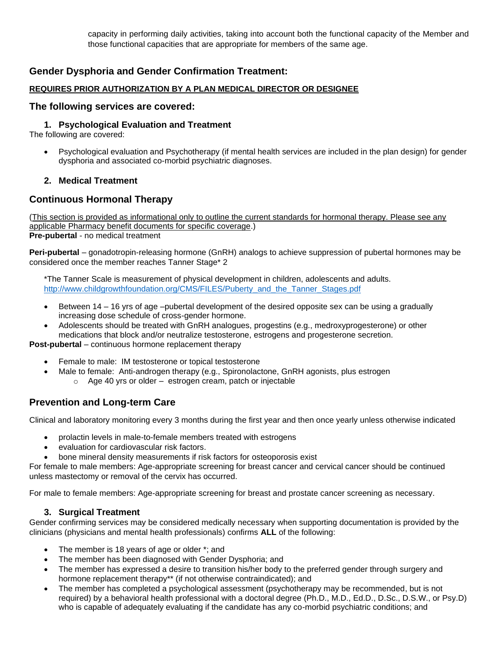capacity in performing daily activities, taking into account both the functional capacity of the Member and those functional capacities that are appropriate for members of the same age.

# **Gender Dysphoria and Gender Confirmation Treatment:**

#### **REQUIRES PRIOR AUTHORIZATION BY A PLAN MEDICAL DIRECTOR OR DESIGNEE**

#### **The following services are covered:**

#### **1. Psychological Evaluation and Treatment**

The following are covered:

• Psychological evaluation and Psychotherapy (if mental health services are included in the plan design) for gender dysphoria and associated co-morbid psychiatric diagnoses.

#### **2. Medical Treatment**

### **Continuous Hormonal Therapy**

(This section is provided as informational only to outline the current standards for hormonal therapy. Please see any applicable Pharmacy benefit documents for specific coverage.) **Pre-pubertal** - no medical treatment

**Peri-pubertal** – gonadotropin-releasing hormone (GnRH) analogs to achieve suppression of pubertal hormones may be considered once the member reaches Tanner Stage\* 2

\*The Tanner Scale is measurement of physical development in children, adolescents and adults. [http://www.childgrowthfoundation.org/CMS/FILES/Puberty\\_and\\_the\\_Tanner\\_Stages.pdf](http://www.childgrowthfoundation.org/CMS/FILES/Puberty_and_the_Tanner_Stages.pdf)

- Between 14 16 yrs of age –pubertal development of the desired opposite sex can be using a gradually increasing dose schedule of cross-gender hormone.
- Adolescents should be treated with GnRH analogues, progestins (e.g., medroxyprogesterone) or other medications that block and/or neutralize testosterone, estrogens and progesterone secretion.

**Post-pubertal** – continuous hormone replacement therapy

- Female to male: IM testosterone or topical testosterone
	- Male to female: Anti-androgen therapy (e.g., Spironolactone, GnRH agonists, plus estrogen
		- o Age 40 yrs or older estrogen cream, patch or injectable

## **Prevention and Long-term Care**

Clinical and laboratory monitoring every 3 months during the first year and then once yearly unless otherwise indicated

- prolactin levels in male-to-female members treated with estrogens
- evaluation for cardiovascular risk factors.
- bone mineral density measurements if risk factors for osteoporosis exist

For female to male members: Age-appropriate screening for breast cancer and cervical cancer should be continued unless mastectomy or removal of the cervix has occurred.

For male to female members: Age-appropriate screening for breast and prostate cancer screening as necessary.

#### **3. Surgical Treatment**

Gender confirming services may be considered medically necessary when supporting documentation is provided by the clinicians (physicians and mental health professionals) confirms **ALL** of the following:

- The member is 18 years of age or older \*; and
- The member has been diagnosed with Gender Dysphoria; and
- The member has expressed a desire to transition his/her body to the preferred gender through surgery and hormone replacement therapy\*\* (if not otherwise contraindicated); and
- The member has completed a psychological assessment (psychotherapy may be recommended, but is not required) by a behavioral health professional with a doctoral degree (Ph.D., M.D., Ed.D., D.Sc., D.S.W., or Psy.D) who is capable of adequately evaluating if the candidate has any co-morbid psychiatric conditions; and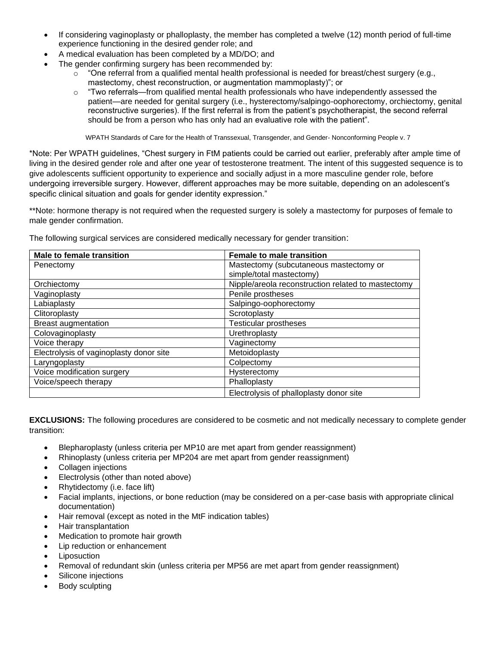- If considering vaginoplasty or phalloplasty, the member has completed a twelve (12) month period of full-time experience functioning in the desired gender role; and
- A medical evaluation has been completed by a MD/DO; and
- The gender confirming surgery has been recommended by:
	- $\circ$  "One referral from a qualified mental health professional is needed for breast/chest surgery (e.g., mastectomy, chest reconstruction, or augmentation mammoplasty)"; or
	- $\circ$  "Two referrals—from qualified mental health professionals who have independently assessed the patient—are needed for genital surgery (i.e., hysterectomy/salpingo-oophorectomy, orchiectomy, genital reconstructive surgeries). If the first referral is from the patient's psychotherapist, the second referral should be from a person who has only had an evaluative role with the patient".

WPATH Standards of Care for the Health of Transsexual, Transgender, and Gender- Nonconforming People v. 7

\*Note: Per WPATH guidelines, "Chest surgery in FtM patients could be carried out earlier, preferably after ample time of living in the desired gender role and after one year of testosterone treatment. The intent of this suggested sequence is to give adolescents sufficient opportunity to experience and socially adjust in a more masculine gender role, before undergoing irreversible surgery. However, different approaches may be more suitable, depending on an adolescent's specific clinical situation and goals for gender identity expression."

\*\*Note: hormone therapy is not required when the requested surgery is solely a mastectomy for purposes of female to male gender confirmation.

| <b>Male to female transition</b>        | <b>Female to male transition</b>                   |
|-----------------------------------------|----------------------------------------------------|
| Penectomy                               | Mastectomy (subcutaneous mastectomy or             |
|                                         | simple/total mastectomy)                           |
| Orchiectomy                             | Nipple/areola reconstruction related to mastectomy |
| Vaginoplasty                            | Penile prostheses                                  |
| Labiaplasty                             | Salpingo-oophorectomy                              |
| Clitoroplasty                           | Scrotoplasty                                       |
| <b>Breast augmentation</b>              | <b>Testicular prostheses</b>                       |
| Colovaginoplasty                        | Urethroplasty                                      |
| Voice therapy                           | Vaginectomy                                        |
| Electrolysis of vaginoplasty donor site | Metoidoplasty                                      |
| Laryngoplasty                           | Colpectomy                                         |
| Voice modification surgery              | Hysterectomy                                       |
| Voice/speech therapy                    | Phalloplasty                                       |
|                                         | Electrolysis of phalloplasty donor site            |

The following surgical services are considered medically necessary for gender transition:

**EXCLUSIONS:** The following procedures are considered to be cosmetic and not medically necessary to complete gender transition:

- Blepharoplasty (unless criteria per MP10 are met apart from gender reassignment)
- Rhinoplasty (unless criteria per MP204 are met apart from gender reassignment)
- Collagen injections
- Electrolysis (other than noted above)
- Rhytidectomy (i.e. face lift)
- Facial implants, injections, or bone reduction (may be considered on a per-case basis with appropriate clinical documentation)
- Hair removal (except as noted in the MtF indication tables)
- Hair transplantation
- Medication to promote hair growth
- Lip reduction or enhancement
- **Liposuction**
- Removal of redundant skin (unless criteria per MP56 are met apart from gender reassignment)
- Silicone injections
- Body sculpting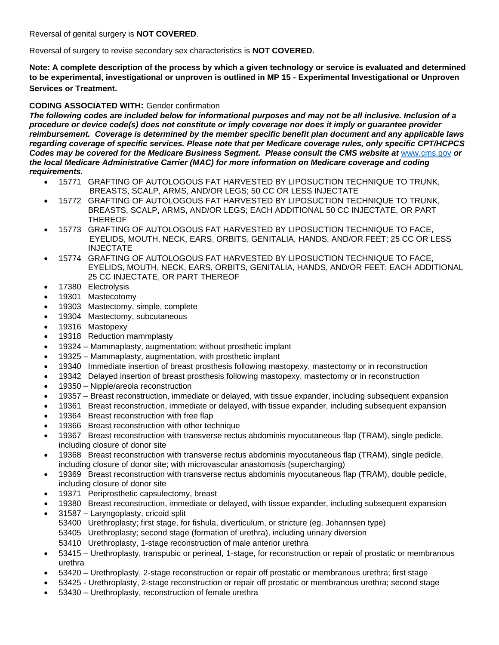Reversal of genital surgery is **NOT COVERED**.

Reversal of surgery to revise secondary sex characteristics is **NOT COVERED.**

**Note: A complete description of the process by which a given technology or service is evaluated and determined to be experimental, investigational or unproven is outlined in MP 15 - Experimental Investigational or Unproven Services or Treatment.**

#### **CODING ASSOCIATED WITH:** Gender confirmation

*The following codes are included below for informational purposes and may not be all inclusive. Inclusion of a procedure or device code(s) does not constitute or imply coverage nor does it imply or guarantee provider reimbursement. Coverage is determined by the member specific benefit plan document and any applicable laws regarding coverage of specific services. Please note that per Medicare coverage rules, only specific CPT/HCPCS Codes may be covered for the Medicare Business Segment. Please consult the CMS website at* [www.cms.gov](http://www.cms.gov/) *or the local Medicare Administrative Carrier (MAC) for more information on Medicare coverage and coding requirements.*

- 15771 GRAFTING OF AUTOLOGOUS FAT HARVESTED BY LIPOSUCTION TECHNIQUE TO TRUNK, BREASTS, SCALP, ARMS, AND/OR LEGS; 50 CC OR LESS INJECTATE
- 15772 GRAFTING OF AUTOLOGOUS FAT HARVESTED BY LIPOSUCTION TECHNIQUE TO TRUNK, BREASTS, SCALP, ARMS, AND/OR LEGS; EACH ADDITIONAL 50 CC INJECTATE, OR PART THEREOF
- 15773 GRAFTING OF AUTOLOGOUS FAT HARVESTED BY LIPOSUCTION TECHNIQUE TO FACE, EYELIDS, MOUTH, NECK, EARS, ORBITS, GENITALIA, HANDS, AND/OR FEET; 25 CC OR LESS INJECTATE
- 15774 GRAFTING OF AUTOLOGOUS FAT HARVESTED BY LIPOSUCTION TECHNIQUE TO FACE, EYELIDS, MOUTH, NECK, EARS, ORBITS, GENITALIA, HANDS, AND/OR FEET; EACH ADDITIONAL 25 CC INJECTATE, OR PART THEREOF
- 17380 Electrolysis
- 19301 Mastecotomy
- 19303 Mastectomy, simple, complete
- 19304 Mastectomy, subcutaneous
- 19316 Mastopexy
- 19318 Reduction mammplasty
- 19324 Mammaplasty, augmentation; without prosthetic implant
- 19325 Mammaplasty, augmentation, with prosthetic implant
- 19340 Immediate insertion of breast prosthesis following mastopexy, mastectomy or in reconstruction
- 19342 Delayed insertion of breast prosthesis following mastopexy, mastectomy or in reconstruction
- 19350 Nipple/areola reconstruction
- 19357 Breast reconstruction, immediate or delayed, with tissue expander, including subsequent expansion
- 19361 Breast reconstruction, immediate or delayed, with tissue expander, including subsequent expansion
- 19364 Breast reconstruction with free flap
- 19366 Breast reconstruction with other technique
- 19367 Breast reconstruction with transverse rectus abdominis myocutaneous flap (TRAM), single pedicle, including closure of donor site
- 19368 Breast reconstruction with transverse rectus abdominis myocutaneous flap (TRAM), single pedicle, including closure of donor site; with microvascular anastomosis (supercharging)
- 19369 Breast reconstruction with transverse rectus abdominis myocutaneous flap (TRAM), double pedicle, including closure of donor site
- 19371 Periprosthetic capsulectomy, breast
- 19380 Breast reconstruction, immediate or delayed, with tissue expander, including subsequent expansion
- 31587 Laryngoplasty, cricoid split 53400 Urethroplasty; first stage, for fishula, diverticulum, or stricture (eg. Johannsen type) 53405 Urethroplasty; second stage (formation of urethra), including urinary diversion 53410 Urethroplasty, 1-stage reconstruction of male anterior urethra
- 53415 Urethroplasty, transpubic or perineal, 1-stage, for reconstruction or repair of prostatic or membranous urethra
- 53420 Urethroplasty, 2-stage reconstruction or repair off prostatic or membranous urethra; first stage
- 53425 Urethroplasty, 2-stage reconstruction or repair off prostatic or membranous urethra; second stage
- 53430 Urethroplasty, reconstruction of female urethra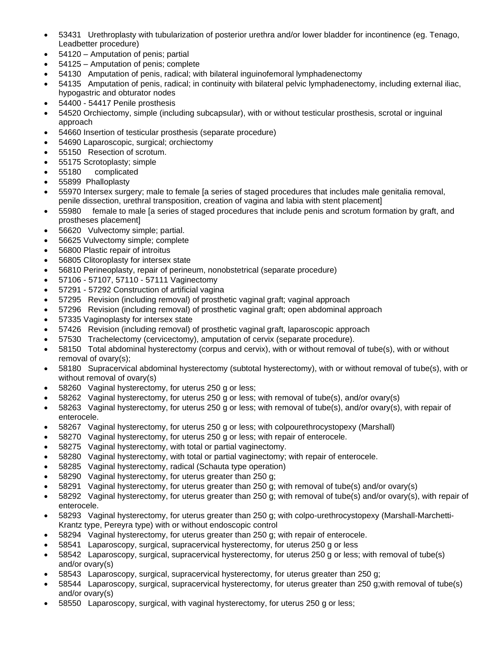- 53431 Urethroplasty with tubularization of posterior urethra and/or lower bladder for incontinence (eg. Tenago, Leadbetter procedure)
- 54120 Amputation of penis; partial
- 54125 Amputation of penis; complete
- 54130 Amputation of penis, radical; with bilateral inguinofemoral lymphadenectomy
- 54135 Amputation of penis, radical; in continuity with bilateral pelvic lymphadenectomy, including external iliac, hypogastric and obturator nodes
- 54400 54417 Penile prosthesis
- 54520 Orchiectomy, simple (including subcapsular), with or without testicular prosthesis, scrotal or inguinal approach
- 54660 Insertion of testicular prosthesis (separate procedure)
- 54690 Laparoscopic, surgical; orchiectomy
- 55150 Resection of scrotum.
- 55175 Scrotoplasty; simple
- 55180 complicated
- 55899 Phalloplasty
- 55970 Intersex surgery; male to female [a series of staged procedures that includes male genitalia removal, penile dissection, urethral transposition, creation of vagina and labia with stent placement]
- 55980 female to male [a series of staged procedures that include penis and scrotum formation by graft, and prostheses placement]
- 56620 Vulvectomy simple; partial.
- 56625 Vulvectomy simple; complete
- 56800 Plastic repair of introitus
- 56805 Clitoroplasty for intersex state
- 56810 Perineoplasty, repair of perineum, nonobstetrical (separate procedure)
- 57106 57107, 57110 57111 Vaginectomy
- 57291 57292 Construction of artificial vagina
- 57295 Revision (including removal) of prosthetic vaginal graft; vaginal approach
- 57296 Revision (including removal) of prosthetic vaginal graft; open abdominal approach
- 57335 Vaginoplasty for intersex state
- 57426 Revision (including removal) of prosthetic vaginal graft, laparoscopic approach
- 57530 Trachelectomy (cervicectomy), amputation of cervix (separate procedure).
- 58150 Total abdominal hysterectomy (corpus and cervix), with or without removal of tube(s), with or without removal of ovary(s);
- 58180 Supracervical abdominal hysterectomy (subtotal hysterectomy), with or without removal of tube(s), with or without removal of ovary(s)
- 58260 Vaginal hysterectomy, for uterus 250 g or less;
- 58262 Vaginal hysterectomy, for uterus 250 g or less; with removal of tube(s), and/or ovary(s)
- 58263 Vaginal hysterectomy, for uterus 250 g or less; with removal of tube(s), and/or ovary(s), with repair of enterocele.
- 58267 Vaginal hysterectomy, for uterus 250 g or less; with colpourethrocystopexy (Marshall)
- 58270 Vaginal hysterectomy, for uterus 250 g or less; with repair of enterocele.
- 58275 Vaginal hysterectomy, with total or partial vaginectomy.
- 58280 Vaginal hysterectomy, with total or partial vaginectomy; with repair of enterocele.
- 58285 Vaginal hysterectomy, radical (Schauta type operation)
- 58290 Vaginal hysterectomy, for uterus greater than 250 g;
- 58291 Vaginal hysterectomy, for uterus greater than 250 g; with removal of tube(s) and/or ovary(s)
- 58292 Vaginal hysterectomy, for uterus greater than 250 g; with removal of tube(s) and/or ovary(s), with repair of enterocele.
- 58293 Vaginal hysterectomy, for uterus greater than 250 g; with colpo-urethrocystopexy (Marshall-Marchetti-Krantz type, Pereyra type) with or without endoscopic control
- 58294 Vaginal hysterectomy, for uterus greater than 250 g; with repair of enterocele.
- 58541 Laparoscopy, surgical, supracervical hysterectomy, for uterus 250 g or less
- 58542 Laparoscopy, surgical, supracervical hysterectomy, for uterus 250 g or less; with removal of tube(s) and/or ovary(s)
- 58543 Laparoscopy, surgical, supracervical hysterectomy, for uterus greater than 250 g;
- 58544 Laparoscopy, surgical, supracervical hysterectomy, for uterus greater than 250 g;with removal of tube(s) and/or ovary(s)
- 58550 Laparoscopy, surgical, with vaginal hysterectomy, for uterus 250 g or less;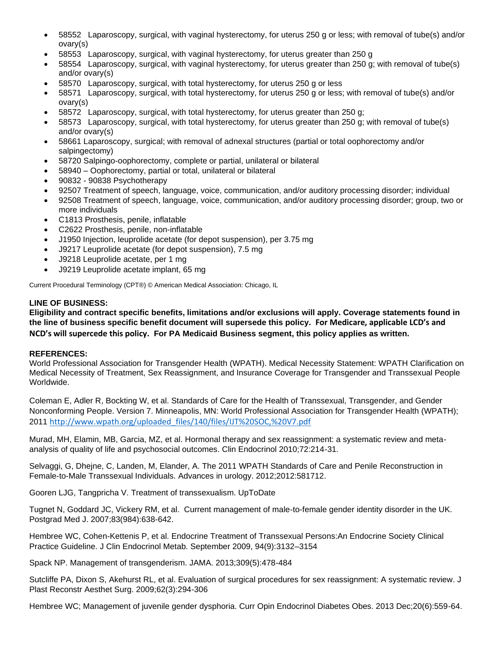- 58552 Laparoscopy, surgical, with vaginal hysterectomy, for uterus 250 g or less; with removal of tube(s) and/or ovary(s)
- 58553 Laparoscopy, surgical, with vaginal hysterectomy, for uterus greater than 250 g
- 58554 Laparoscopy, surgical, with vaginal hysterectomy, for uterus greater than 250 g; with removal of tube(s) and/or ovary(s)
- 58570 Laparoscopy, surgical, with total hysterectomy, for uterus 250 g or less
- 58571 Laparoscopy, surgical, with total hysterectomy, for uterus 250 g or less; with removal of tube(s) and/or ovary(s)
- 58572 Laparoscopy, surgical, with total hysterectomy, for uterus greater than 250 g;
- 58573 Laparoscopy, surgical, with total hysterectomy, for uterus greater than 250 g; with removal of tube(s) and/or ovary(s)
- 58661 Laparoscopy, surgical; with removal of adnexal structures (partial or total oophorectomy and/or salpingectomy)
- 58720 Salpingo-oophorectomy, complete or partial, unilateral or bilateral
- 58940 Oophorectomy, partial or total, unilateral or bilateral
- 90832 90838 Psychotherapy
- 92507 Treatment of speech, language, voice, communication, and/or auditory processing disorder; individual
- 92508 Treatment of speech, language, voice, communication, and/or auditory processing disorder; group, two or more individuals
- C1813 Prosthesis, penile, inflatable
- C2622 Prosthesis, penile, non-inflatable
- J1950 Injection, leuprolide acetate (for depot suspension), per 3.75 mg
- J9217 Leuprolide acetate (for depot suspension), 7.5 mg
- J9218 Leuprolide acetate, per 1 mg
- J9219 Leuprolide acetate implant, 65 mg

Current Procedural Terminology (CPT®) © American Medical Association: Chicago, IL

#### **LINE OF BUSINESS:**

**Eligibility and contract specific benefits, limitations and/or exclusions will apply. Coverage statements found in the line of business specific benefit document will supersede this policy. For Medicare, applicable LCD's and NCD's will supercede this policy. For PA Medicaid Business segment, this policy applies as written.**

#### **REFERENCES:**

World Professional Association for Transgender Health (WPATH). Medical Necessity Statement: WPATH Clarification on Medical Necessity of Treatment, Sex Reassignment, and Insurance Coverage for Transgender and Transsexual People Worldwide.

Coleman E, Adler R, Bockting W, et al. Standards of Care for the Health of Transsexual, Transgender, and Gender Nonconforming People. Version 7. Minneapolis, MN: World Professional Association for Transgender Health (WPATH); 2011 [http://www.wpath.org/uploaded\\_files/140/files/IJT%20SOC,%20V7.pdf](http://www.wpath.org/uploaded_files/140/files/IJT%20SOC,%20V7.pdf)

Murad, MH, Elamin, MB, Garcia, MZ, et al. Hormonal therapy and sex reassignment: a systematic review and metaanalysis of quality of life and psychosocial outcomes. Clin Endocrinol 2010;72:214-31.

Selvaggi, G, Dhejne, C, Landen, M, Elander, A. The 2011 WPATH Standards of Care and Penile Reconstruction in Female-to-Male Transsexual Individuals. Advances in urology. 2012;2012:581712.

Gooren LJG, Tangpricha V. Treatment of transsexualism. UpToDate

Tugnet N, Goddard JC, Vickery RM, et al. Current management of male-to-female gender identity disorder in the UK. Postgrad Med J. 2007;83(984):638-642.

Hembree WC, Cohen-Kettenis P, et al. Endocrine Treatment of Transsexual Persons:An Endocrine Society Clinical Practice Guideline. J Clin Endocrinol Metab. September 2009, 94(9):3132–3154

Spack NP. Management of transgenderism. JAMA. 2013;309(5):478-484

Sutcliffe PA, Dixon S, Akehurst RL, et al. Evaluation of surgical procedures for sex reassignment: A systematic review. J Plast Reconstr Aesthet Surg. 2009;62(3):294-306

Hembree WC; Management of juvenile gender dysphoria. Curr Opin Endocrinol Diabetes Obes. 2013 Dec;20(6):559-64.